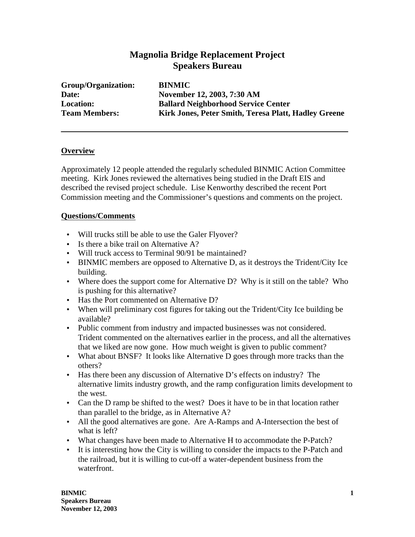## **Magnolia Bridge Replacement Project Speakers Bureau**

**Group/Organization: BINMIC**

**Date: November 12, 2003, 7:30 AM Location: Ballard Neighborhood Service Center Team Members: Kirk Jones, Peter Smith, Teresa Platt, Hadley Greene**

## **Overview**

Approximately 12 people attended the regularly scheduled BINMIC Action Committee meeting. Kirk Jones reviewed the alternatives being studied in the Draft EIS and described the revised project schedule. Lise Kenworthy described the recent Port Commission meeting and the Commissioner's questions and comments on the project.

## **Questions/Comments**

- Will trucks still be able to use the Galer Flyover?
- Is there a bike trail on Alternative A?
- Will truck access to Terminal 90/91 be maintained?
- BINMIC members are opposed to Alternative D, as it destroys the Trident/City Ice building.
- Where does the support come for Alternative D? Why is it still on the table? Who is pushing for this alternative?
- Has the Port commented on Alternative D?
- When will preliminary cost figures for taking out the Trident/City Ice building be available?
- Public comment from industry and impacted businesses was not considered. Trident commented on the alternatives earlier in the process, and all the alternatives that we liked are now gone. How much weight is given to public comment?
- What about BNSF? It looks like Alternative D goes through more tracks than the others?
- Has there been any discussion of Alternative D's effects on industry? The alternative limits industry growth, and the ramp configuration limits development to the west.
- Can the D ramp be shifted to the west? Does it have to be in that location rather than parallel to the bridge, as in Alternative A?
- All the good alternatives are gone. Are A-Ramps and A-Intersection the best of what is left?
- What changes have been made to Alternative H to accommodate the P-Patch?
- It is interesting how the City is willing to consider the impacts to the P-Patch and the railroad, but it is willing to cut-off a water-dependent business from the waterfront.